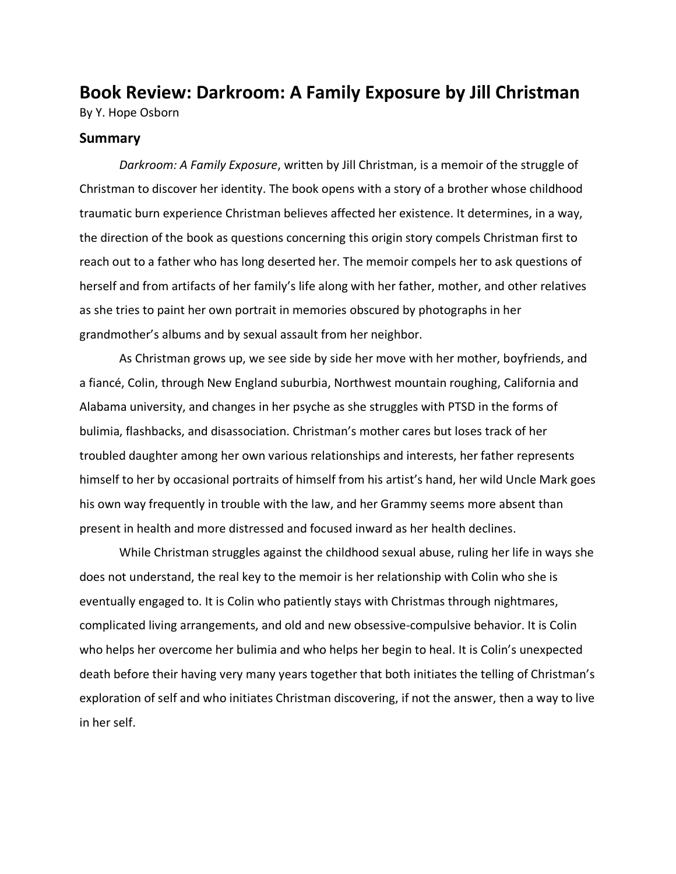## **Book Review: Darkroom: A Family Exposure by Jill Christman**

By Y. Hope Osborn

## **Summary**

*Darkroom: A Family Exposure*, written by Jill Christman, is a memoir of the struggle of Christman to discover her identity. The book opens with a story of a brother whose childhood traumatic burn experience Christman believes affected her existence. It determines, in a way, the direction of the book as questions concerning this origin story compels Christman first to reach out to a father who has long deserted her. The memoir compels her to ask questions of herself and from artifacts of her family's life along with her father, mother, and other relatives as she tries to paint her own portrait in memories obscured by photographs in her grandmother's albums and by sexual assault from her neighbor.

As Christman grows up, we see side by side her move with her mother, boyfriends, and a fiancé, Colin, through New England suburbia, Northwest mountain roughing, California and Alabama university, and changes in her psyche as she struggles with PTSD in the forms of bulimia, flashbacks, and disassociation. Christman's mother cares but loses track of her troubled daughter among her own various relationships and interests, her father represents himself to her by occasional portraits of himself from his artist's hand, her wild Uncle Mark goes his own way frequently in trouble with the law, and her Grammy seems more absent than present in health and more distressed and focused inward as her health declines.

While Christman struggles against the childhood sexual abuse, ruling her life in ways she does not understand, the real key to the memoir is her relationship with Colin who she is eventually engaged to. It is Colin who patiently stays with Christmas through nightmares, complicated living arrangements, and old and new obsessive-compulsive behavior. It is Colin who helps her overcome her bulimia and who helps her begin to heal. It is Colin's unexpected death before their having very many years together that both initiates the telling of Christman's exploration of self and who initiates Christman discovering, if not the answer, then a way to live in her self.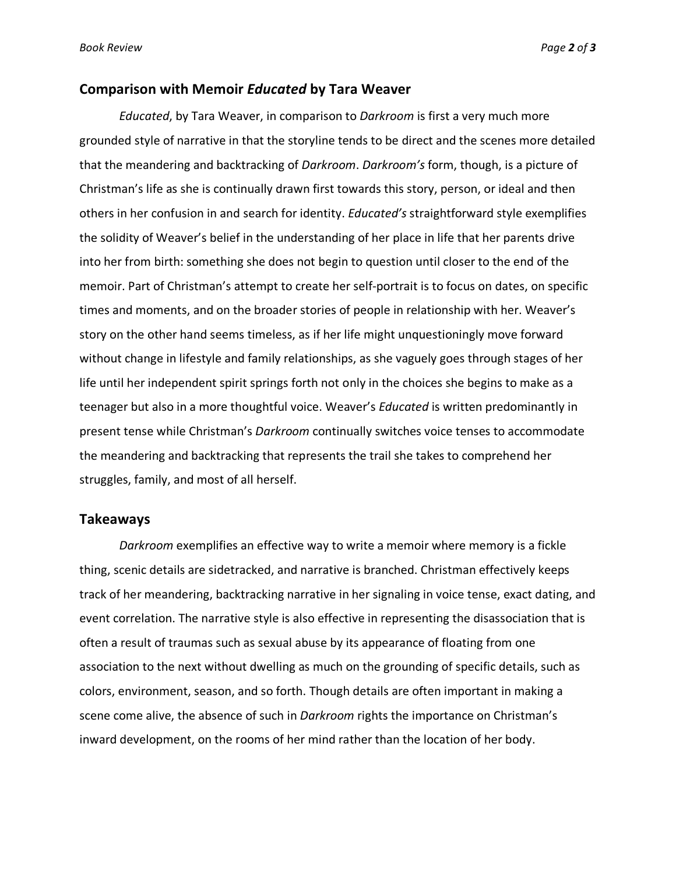## **Comparison with Memoir** *Educated* **by Tara Weaver**

*Educated*, by Tara Weaver, in comparison to *Darkroom* is first a very much more grounded style of narrative in that the storyline tends to be direct and the scenes more detailed that the meandering and backtracking of *Darkroom*. *Darkroom's* form, though, is a picture of Christman's life as she is continually drawn first towards this story, person, or ideal and then others in her confusion in and search for identity. *Educated's* straightforward style exemplifies the solidity of Weaver's belief in the understanding of her place in life that her parents drive into her from birth: something she does not begin to question until closer to the end of the memoir. Part of Christman's attempt to create her self-portrait is to focus on dates, on specific times and moments, and on the broader stories of people in relationship with her. Weaver's story on the other hand seems timeless, as if her life might unquestioningly move forward without change in lifestyle and family relationships, as she vaguely goes through stages of her life until her independent spirit springs forth not only in the choices she begins to make as a teenager but also in a more thoughtful voice. Weaver's *Educated* is written predominantly in present tense while Christman's *Darkroom* continually switches voice tenses to accommodate the meandering and backtracking that represents the trail she takes to comprehend her struggles, family, and most of all herself.

## **Takeaways**

*Darkroom* exemplifies an effective way to write a memoir where memory is a fickle thing, scenic details are sidetracked, and narrative is branched. Christman effectively keeps track of her meandering, backtracking narrative in her signaling in voice tense, exact dating, and event correlation. The narrative style is also effective in representing the disassociation that is often a result of traumas such as sexual abuse by its appearance of floating from one association to the next without dwelling as much on the grounding of specific details, such as colors, environment, season, and so forth. Though details are often important in making a scene come alive, the absence of such in *Darkroom* rights the importance on Christman's inward development, on the rooms of her mind rather than the location of her body.